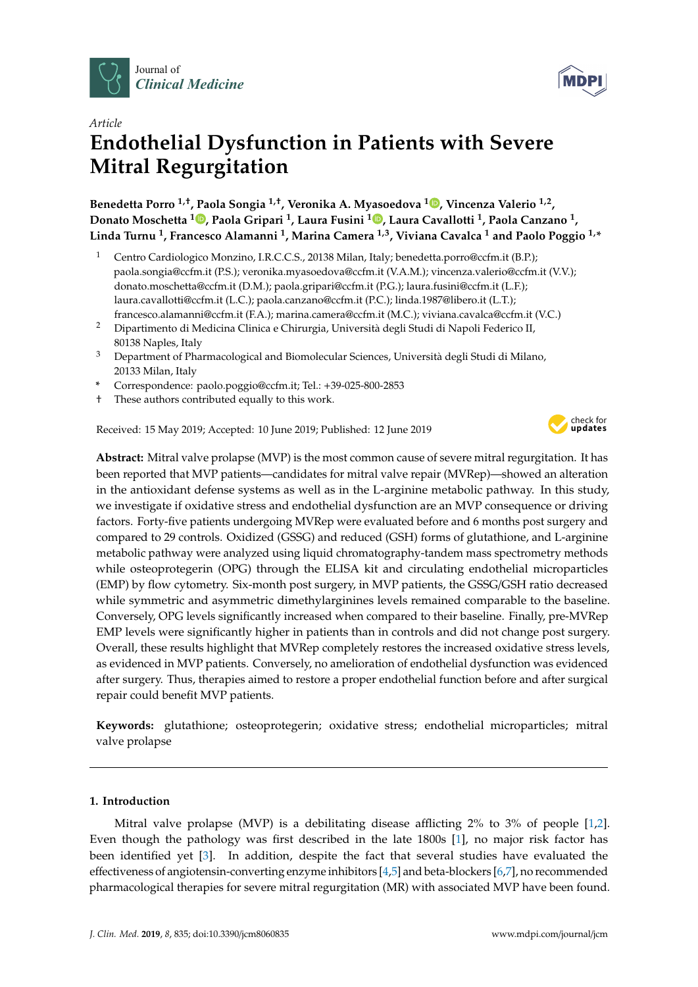



# *Article* **Endothelial Dysfunction in Patients with Severe Mitral Regurgitation**

**Benedetta Porro 1,**† **, Paola Songia 1,**† **, Veronika A. Myasoedova <sup>1</sup> [,](https://orcid.org/0000-0001-8414-5300) Vincenza Valerio 1,2 , Donato Moschetta <sup>1</sup> [,](https://orcid.org/0000-0002-7746-8539) Paola Gripari <sup>1</sup> , Laura Fusini <sup>1</sup> [,](https://orcid.org/0000-0003-0309-6231) Laura Cavallotti <sup>1</sup> , Paola Canzano <sup>1</sup> , Linda Turnu <sup>1</sup> , Francesco Alamanni <sup>1</sup> , Marina Camera 1,3, Viviana Cavalca <sup>1</sup> and Paolo Poggio 1,\***

- <sup>1</sup> Centro Cardiologico Monzino, I.R.C.C.S., 20138 Milan, Italy; benedetta.porro@ccfm.it (B.P.); paola.songia@ccfm.it (P.S.); veronika.myasoedova@ccfm.it (V.A.M.); vincenza.valerio@ccfm.it (V.V.); donato.moschetta@ccfm.it (D.M.); paola.gripari@ccfm.it (P.G.); laura.fusini@ccfm.it (L.F.); laura.cavallotti@ccfm.it (L.C.); paola.canzano@ccfm.it (P.C.); linda.1987@libero.it (L.T.); francesco.alamanni@ccfm.it (F.A.); marina.camera@ccfm.it (M.C.); viviana.cavalca@ccfm.it (V.C.)
- <sup>2</sup> Dipartimento di Medicina Clinica e Chirurgia, Università degli Studi di Napoli Federico II, 80138 Naples, Italy
- <sup>3</sup> Department of Pharmacological and Biomolecular Sciences, Università degli Studi di Milano, 20133 Milan, Italy
- **\*** Correspondence: paolo.poggio@ccfm.it; Tel.: +39-025-800-2853
- † These authors contributed equally to this work.

Received: 15 May 2019; Accepted: 10 June 2019; Published: 12 June 2019



**Abstract:** Mitral valve prolapse (MVP) is the most common cause of severe mitral regurgitation. It has been reported that MVP patients—candidates for mitral valve repair (MVRep)—showed an alteration in the antioxidant defense systems as well as in the L-arginine metabolic pathway. In this study, we investigate if oxidative stress and endothelial dysfunction are an MVP consequence or driving factors. Forty-five patients undergoing MVRep were evaluated before and 6 months post surgery and compared to 29 controls. Oxidized (GSSG) and reduced (GSH) forms of glutathione, and L-arginine metabolic pathway were analyzed using liquid chromatography-tandem mass spectrometry methods while osteoprotegerin (OPG) through the ELISA kit and circulating endothelial microparticles (EMP) by flow cytometry. Six-month post surgery, in MVP patients, the GSSG/GSH ratio decreased while symmetric and asymmetric dimethylarginines levels remained comparable to the baseline. Conversely, OPG levels significantly increased when compared to their baseline. Finally, pre-MVRep EMP levels were significantly higher in patients than in controls and did not change post surgery. Overall, these results highlight that MVRep completely restores the increased oxidative stress levels, as evidenced in MVP patients. Conversely, no amelioration of endothelial dysfunction was evidenced after surgery. Thus, therapies aimed to restore a proper endothelial function before and after surgical repair could benefit MVP patients.

**Keywords:** glutathione; osteoprotegerin; oxidative stress; endothelial microparticles; mitral valve prolapse

# **1. Introduction**

Mitral valve prolapse (MVP) is a debilitating disease afflicting 2% to 3% of people [\[1,](#page-9-0)[2\]](#page-9-1). Even though the pathology was first described in the late 1800s [\[1\]](#page-9-0), no major risk factor has been identified yet [\[3\]](#page-9-2). In addition, despite the fact that several studies have evaluated the effectiveness of angiotensin-converting enzyme inhibitors [\[4,](#page-9-3)[5\]](#page-9-4) and beta-blockers [\[6,](#page-10-0)[7\]](#page-10-1), no recommended pharmacological therapies for severe mitral regurgitation (MR) with associated MVP have been found.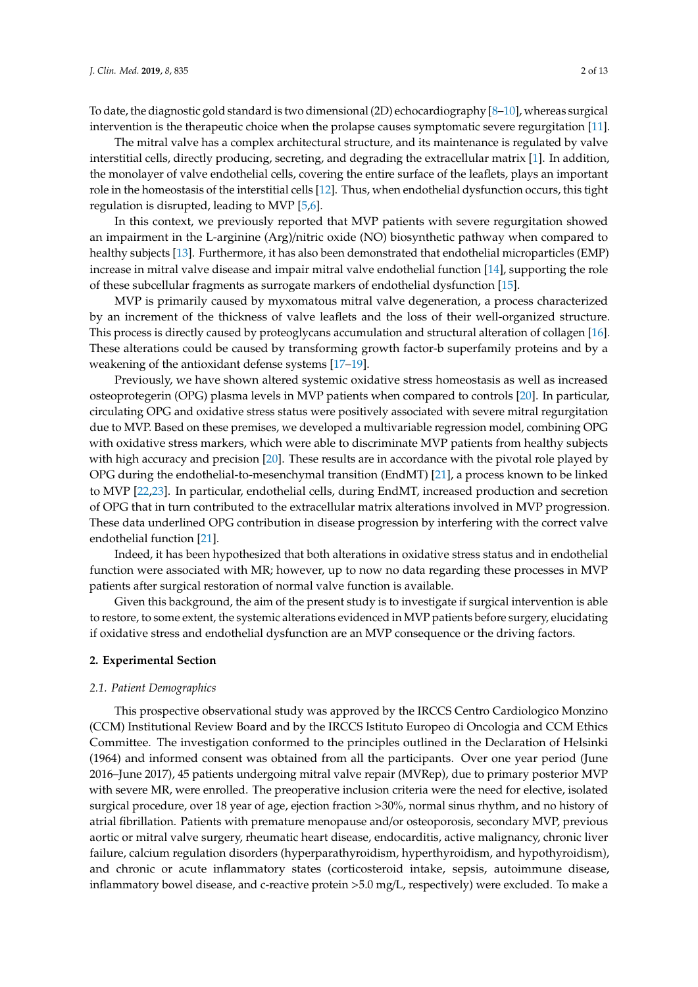To date, the diagnostic gold standard is two dimensional (2D) echocardiography [\[8–](#page-10-2)[10\]](#page-10-3), whereas surgical intervention is the therapeutic choice when the prolapse causes symptomatic severe regurgitation [\[11\]](#page-10-4).

The mitral valve has a complex architectural structure, and its maintenance is regulated by valve interstitial cells, directly producing, secreting, and degrading the extracellular matrix [\[1\]](#page-9-0). In addition, the monolayer of valve endothelial cells, covering the entire surface of the leaflets, plays an important role in the homeostasis of the interstitial cells [\[12\]](#page-10-5). Thus, when endothelial dysfunction occurs, this tight regulation is disrupted, leading to MVP [\[5,](#page-9-4)[6\]](#page-10-0).

In this context, we previously reported that MVP patients with severe regurgitation showed an impairment in the L-arginine (Arg)/nitric oxide (NO) biosynthetic pathway when compared to healthy subjects [\[13\]](#page-10-6). Furthermore, it has also been demonstrated that endothelial microparticles (EMP) increase in mitral valve disease and impair mitral valve endothelial function [\[14\]](#page-10-7), supporting the role of these subcellular fragments as surrogate markers of endothelial dysfunction [\[15\]](#page-10-8).

MVP is primarily caused by myxomatous mitral valve degeneration, a process characterized by an increment of the thickness of valve leaflets and the loss of their well-organized structure. This process is directly caused by proteoglycans accumulation and structural alteration of collagen [\[16\]](#page-10-9). These alterations could be caused by transforming growth factor-b superfamily proteins and by a weakening of the antioxidant defense systems [\[17–](#page-10-10)[19\]](#page-10-11).

Previously, we have shown altered systemic oxidative stress homeostasis as well as increased osteoprotegerin (OPG) plasma levels in MVP patients when compared to controls [\[20\]](#page-10-12). In particular, circulating OPG and oxidative stress status were positively associated with severe mitral regurgitation due to MVP. Based on these premises, we developed a multivariable regression model, combining OPG with oxidative stress markers, which were able to discriminate MVP patients from healthy subjects with high accuracy and precision [\[20\]](#page-10-12). These results are in accordance with the pivotal role played by OPG during the endothelial-to-mesenchymal transition (EndMT) [\[21\]](#page-10-13), a process known to be linked to MVP [\[22,](#page-10-14)[23\]](#page-10-15). In particular, endothelial cells, during EndMT, increased production and secretion of OPG that in turn contributed to the extracellular matrix alterations involved in MVP progression. These data underlined OPG contribution in disease progression by interfering with the correct valve endothelial function [\[21\]](#page-10-13).

Indeed, it has been hypothesized that both alterations in oxidative stress status and in endothelial function were associated with MR; however, up to now no data regarding these processes in MVP patients after surgical restoration of normal valve function is available.

Given this background, the aim of the present study is to investigate if surgical intervention is able to restore, to some extent, the systemic alterations evidenced in MVP patients before surgery, elucidating if oxidative stress and endothelial dysfunction are an MVP consequence or the driving factors.

# **2. Experimental Section**

#### *2.1. Patient Demographics*

This prospective observational study was approved by the IRCCS Centro Cardiologico Monzino (CCM) Institutional Review Board and by the IRCCS Istituto Europeo di Oncologia and CCM Ethics Committee. The investigation conformed to the principles outlined in the Declaration of Helsinki (1964) and informed consent was obtained from all the participants. Over one year period (June 2016–June 2017), 45 patients undergoing mitral valve repair (MVRep), due to primary posterior MVP with severe MR, were enrolled. The preoperative inclusion criteria were the need for elective, isolated surgical procedure, over 18 year of age, ejection fraction >30%, normal sinus rhythm, and no history of atrial fibrillation. Patients with premature menopause and/or osteoporosis, secondary MVP, previous aortic or mitral valve surgery, rheumatic heart disease, endocarditis, active malignancy, chronic liver failure, calcium regulation disorders (hyperparathyroidism, hyperthyroidism, and hypothyroidism), and chronic or acute inflammatory states (corticosteroid intake, sepsis, autoimmune disease, inflammatory bowel disease, and c-reactive protein >5.0 mg/L, respectively) were excluded. To make a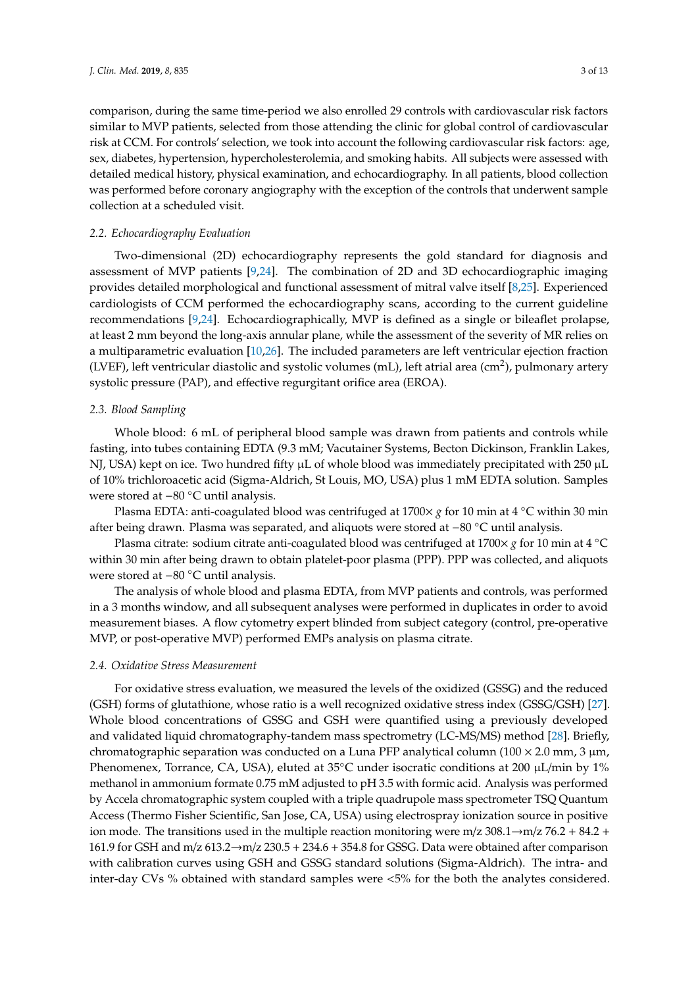comparison, during the same time-period we also enrolled 29 controls with cardiovascular risk factors similar to MVP patients, selected from those attending the clinic for global control of cardiovascular risk at CCM. For controls' selection, we took into account the following cardiovascular risk factors: age, sex, diabetes, hypertension, hypercholesterolemia, and smoking habits. All subjects were assessed with detailed medical history, physical examination, and echocardiography. In all patients, blood collection was performed before coronary angiography with the exception of the controls that underwent sample collection at a scheduled visit.

# *2.2. Echocardiography Evaluation*

Two-dimensional (2D) echocardiography represents the gold standard for diagnosis and assessment of MVP patients [\[9](#page-10-16)[,24\]](#page-11-0). The combination of 2D and 3D echocardiographic imaging provides detailed morphological and functional assessment of mitral valve itself [\[8](#page-10-2)[,25\]](#page-11-1). Experienced cardiologists of CCM performed the echocardiography scans, according to the current guideline recommendations [\[9,](#page-10-16)[24\]](#page-11-0). Echocardiographically, MVP is defined as a single or bileaflet prolapse, at least 2 mm beyond the long-axis annular plane, while the assessment of the severity of MR relies on a multiparametric evaluation [\[10,](#page-10-3)[26\]](#page-11-2). The included parameters are left ventricular ejection fraction (LVEF), left ventricular diastolic and systolic volumes (mL), left atrial area (cm<sup>2</sup>), pulmonary artery systolic pressure (PAP), and effective regurgitant orifice area (EROA).

#### *2.3. Blood Sampling*

Whole blood: 6 mL of peripheral blood sample was drawn from patients and controls while fasting, into tubes containing EDTA (9.3 mM; Vacutainer Systems, Becton Dickinson, Franklin Lakes, NJ, USA) kept on ice. Two hundred fifty  $\mu$ L of whole blood was immediately precipitated with 250  $\mu$ L of 10% trichloroacetic acid (Sigma-Aldrich, St Louis, MO, USA) plus 1 mM EDTA solution. Samples were stored at −80 ◦C until analysis.

Plasma EDTA: anti-coagulated blood was centrifuged at 1700× *g* for 10 min at 4 ◦C within 30 min after being drawn. Plasma was separated, and aliquots were stored at −80 ◦C until analysis.

Plasma citrate: sodium citrate anti-coagulated blood was centrifuged at 1700× *<sup>g</sup>* for 10 min at 4 ◦<sup>C</sup> within 30 min after being drawn to obtain platelet-poor plasma (PPP). PPP was collected, and aliquots were stored at −80 ◦C until analysis.

The analysis of whole blood and plasma EDTA, from MVP patients and controls, was performed in a 3 months window, and all subsequent analyses were performed in duplicates in order to avoid measurement biases. A flow cytometry expert blinded from subject category (control, pre-operative MVP, or post-operative MVP) performed EMPs analysis on plasma citrate.

#### *2.4. Oxidative Stress Measurement*

For oxidative stress evaluation, we measured the levels of the oxidized (GSSG) and the reduced (GSH) forms of glutathione, whose ratio is a well recognized oxidative stress index (GSSG/GSH) [\[27\]](#page-11-3). Whole blood concentrations of GSSG and GSH were quantified using a previously developed and validated liquid chromatography-tandem mass spectrometry (LC-MS/MS) method [\[28\]](#page-11-4). Briefly, chromatographic separation was conducted on a Luna PFP analytical column (100  $\times$  2.0 mm, 3  $\mu$ m, Phenomenex, Torrance, CA, USA), eluted at 35℃ under isocratic conditions at 200 µL/min by 1% methanol in ammonium formate 0.75 mM adjusted to pH 3.5 with formic acid. Analysis was performed by Accela chromatographic system coupled with a triple quadrupole mass spectrometer TSQ Quantum Access (Thermo Fisher Scientific, San Jose, CA, USA) using electrospray ionization source in positive ion mode. The transitions used in the multiple reaction monitoring were m/z  $308.1 \rightarrow m/z \, 76.2 + 84.2 +$ 161.9 for GSH and m/z 613.2→m/z 230.5 + 234.6 + 354.8 for GSSG. Data were obtained after comparison with calibration curves using GSH and GSSG standard solutions (Sigma-Aldrich). The intra- and inter-day CVs % obtained with standard samples were <5% for the both the analytes considered.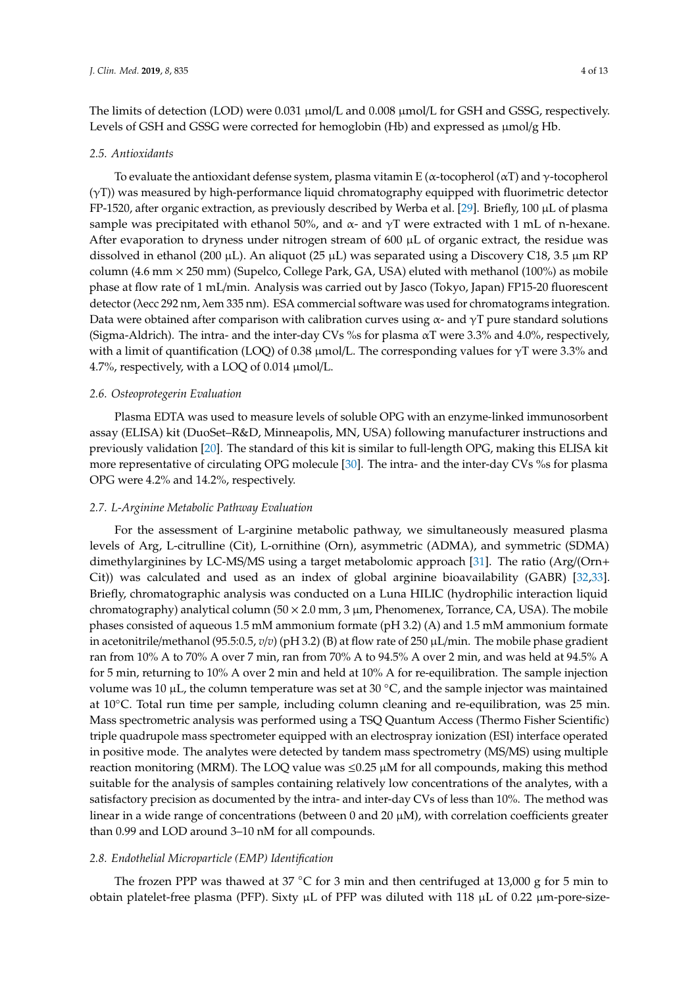The limits of detection (LOD) were 0.031  $\mu$ mol/L and 0.008  $\mu$ mol/L for GSH and GSSG, respectively. Levels of GSH and GSSG were corrected for hemoglobin (Hb) and expressed as  $\mu$ mol/g Hb.

#### *2.5. Antioxidants*

To evaluate the antioxidant defense system, plasma vitamin E (α-tocopherol (αT) and γ-tocopherol  $(\gamma T)$ ) was measured by high-performance liquid chromatography equipped with fluorimetric detector FP-1520, after organic extraction, as previously described by Werba et al. [\[29\]](#page-11-5). Briefly, 100 µL of plasma sample was precipitated with ethanol 50%, and  $\alpha$ - and γT were extracted with 1 mL of n-hexane. After evaporation to dryness under nitrogen stream of  $600 \mu L$  of organic extract, the residue was dissolved in ethanol (200  $\mu$ L). An aliquot (25  $\mu$ L) was separated using a Discovery C18, 3.5  $\mu$ m RP column (4.6 mm  $\times$  250 mm) (Supelco, College Park, GA, USA) eluted with methanol (100%) as mobile phase at flow rate of 1 mL/min. Analysis was carried out by Jasco (Tokyo, Japan) FP15-20 fluorescent detector (λecc 292 nm, λem 335 nm). ESA commercial software was used for chromatograms integration. Data were obtained after comparison with calibration curves using  $\alpha$ - and  $\gamma$ T pure standard solutions (Sigma-Aldrich). The intra- and the inter-day CVs %s for plasma αT were 3.3% and 4.0%, respectively, with a limit of quantification (LOQ) of 0.38  $\mu$ mol/L. The corresponding values for γT were 3.3% and 4.7%, respectively, with a LOQ of 0.014 µmol/L.

#### *2.6. Osteoprotegerin Evaluation*

Plasma EDTA was used to measure levels of soluble OPG with an enzyme-linked immunosorbent assay (ELISA) kit (DuoSet–R&D, Minneapolis, MN, USA) following manufacturer instructions and previously validation [\[20\]](#page-10-12). The standard of this kit is similar to full-length OPG, making this ELISA kit more representative of circulating OPG molecule [\[30\]](#page-11-6). The intra- and the inter-day CVs %s for plasma OPG were 4.2% and 14.2%, respectively.

# *2.7. L-Arginine Metabolic Pathway Evaluation*

For the assessment of L-arginine metabolic pathway, we simultaneously measured plasma levels of Arg, L-citrulline (Cit), L-ornithine (Orn), asymmetric (ADMA), and symmetric (SDMA) dimethylarginines by LC-MS/MS using a target metabolomic approach [\[31\]](#page-11-7). The ratio (Arg/(Orn+ Cit)) was calculated and used as an index of global arginine bioavailability (GABR) [\[32,](#page-11-8)[33\]](#page-11-9). Briefly, chromatographic analysis was conducted on a Luna HILIC (hydrophilic interaction liquid chromatography) analytical column ( $50 \times 2.0$  mm, 3  $\mu$ m, Phenomenex, Torrance, CA, USA). The mobile phases consisted of aqueous 1.5 mM ammonium formate (pH 3.2) (A) and 1.5 mM ammonium formate in acetonitrile/methanol (95.5:0.5, *v*/*v*) (pH 3.2) (B) at flow rate of 250 µL/min. The mobile phase gradient ran from 10% A to 70% A over 7 min, ran from 70% A to 94.5% A over 2 min, and was held at 94.5% A for 5 min, returning to 10% A over 2 min and held at 10% A for re-equilibration. The sample injection volume was 10  $\mu$ L, the column temperature was set at 30 °C, and the sample injector was maintained at 10◦C. Total run time per sample, including column cleaning and re-equilibration, was 25 min. Mass spectrometric analysis was performed using a TSQ Quantum Access (Thermo Fisher Scientific) triple quadrupole mass spectrometer equipped with an electrospray ionization (ESI) interface operated in positive mode. The analytes were detected by tandem mass spectrometry (MS/MS) using multiple reaction monitoring (MRM). The LOQ value was  $\leq 0.25 \mu$ M for all compounds, making this method suitable for the analysis of samples containing relatively low concentrations of the analytes, with a satisfactory precision as documented by the intra- and inter-day CVs of less than 10%. The method was linear in a wide range of concentrations (between 0 and 20  $\mu$ M), with correlation coefficients greater than 0.99 and LOD around 3–10 nM for all compounds.

# *2.8. Endothelial Microparticle (EMP) Identification*

The frozen PPP was thawed at 37 °C for 3 min and then centrifuged at 13,000 g for 5 min to obtain platelet-free plasma (PFP). Sixty  $\mu$ L of PFP was diluted with 118  $\mu$ L of 0.22  $\mu$ m-pore-size-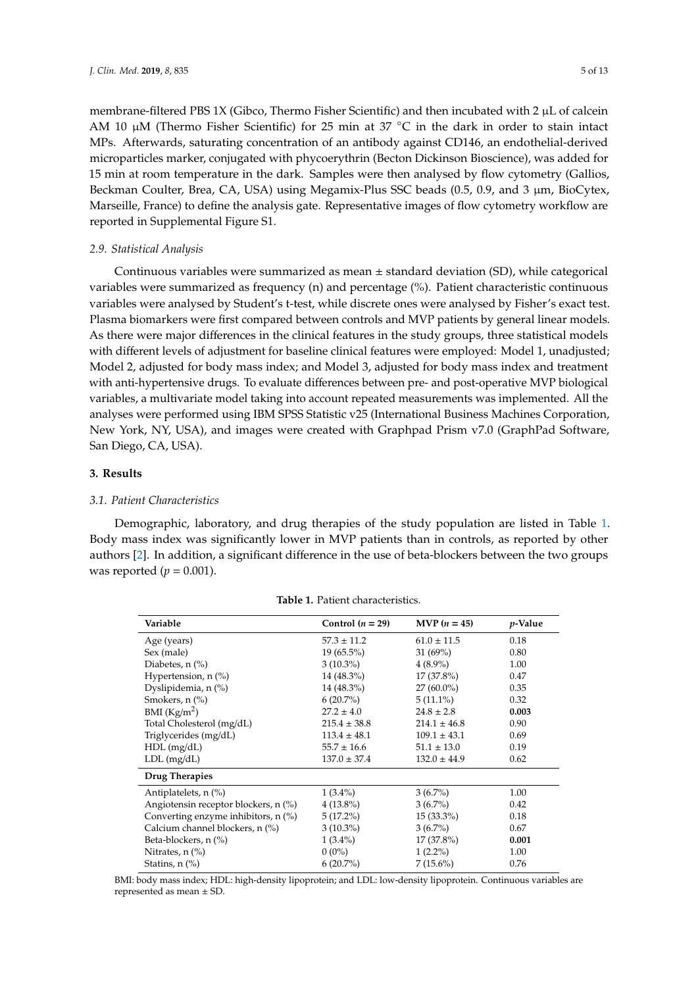membrane-filtered PBS 1X (Gibco, Thermo Fisher Scientific) and then incubated with  $2 \mu L$  of calcein AM 10  $\mu$ M (Thermo Fisher Scientific) for 25 min at 37 °C in the dark in order to stain intact MPs. Afterwards, saturating concentration of an antibody against CD146, an endothelial-derived microparticles marker, conjugated with phycoerythrin (Becton Dickinson Bioscience), was added for 15 min at room temperature in the dark. Samples were then analysed by flow cytometry (Gallios, Beckman Coulter, Brea, CA, USA) using Megamix-Plus SSC beads (0.5, 0.9, and 3 µm, BioCytex, Marseille, France) to define the analysis gate. Representative images of flow cytometry workflow are reported in Supplemental Figure S1.

## *2.9. Statistical Analysis*

Continuous variables were summarized as mean  $\pm$  standard deviation (SD), while categorical variables were summarized as frequency (n) and percentage (%). Patient characteristic continuous variables were analysed by Student's t-test, while discrete ones were analysed by Fisher's exact test. Plasma biomarkers were first compared between controls and MVP patients by general linear models. As there were major differences in the clinical features in the study groups, three statistical models with different levels of adjustment for baseline clinical features were employed: Model 1, unadjusted; Model 2, adjusted for body mass index; and Model 3, adjusted for body mass index and treatment with anti-hypertensive drugs. To evaluate differences between pre- and post-operative MVP biological variables, a multivariate model taking into account repeated measurements was implemented. All the analyses were performed using IBM SPSS Statistic v25 (International Business Machines Corporation, New York, NY, USA), and images were created with Graphpad Prism v7.0 (GraphPad Software, San Diego, CA, USA).

## **3. Results**

#### *3.1. Patient Characteristics*

Demographic, laboratory, and drug therapies of the study population are listed in Table [1.](#page-4-0) Body mass index was significantly lower in MVP patients than in controls, as reported by other authors [\[2\]](#page-9-1). In addition, a significant difference in the use of beta-blockers between the two groups was reported  $(p = 0.001)$ .

<span id="page-4-0"></span>

| Variable                                 | Control $(n = 29)$ | MVP $(n = 45)$   | <i>p</i> -Value |
|------------------------------------------|--------------------|------------------|-----------------|
| Age (years)                              | $57.3 \pm 11.2$    | $61.0 \pm 11.5$  | 0.18            |
| Sex (male)                               | 19 (65.5%)         | $31(69\%)$       | 0.80            |
| Diabetes, $n$ $\left(\frac{9}{6}\right)$ | $3(10.3\%)$        | $4(8.9\%)$       | 1.00            |
| Hypertension, $n$ (%)                    | 14 (48.3%)         | $17(37.8\%)$     | 0.47            |
| Dyslipidemia, n (%)                      | 14 (48.3%)         | $27(60.0\%)$     | 0.35            |
| Smokers, $n$ $\left(\% \right)$          | $6(20.7\%)$        | $5(11.1\%)$      | 0.32            |
| BMI $(Kg/m2)$                            | $27.2 \pm 4.0$     | $24.8 \pm 2.8$   | 0.003           |
| Total Cholesterol (mg/dL)                | $215.4 \pm 38.8$   | $214.1 \pm 46.8$ | 0.90            |
| Triglycerides (mg/dL)                    | $113.4 \pm 48.1$   | $109.1 \pm 43.1$ | 0.69            |
| $HDL$ (mg/dL)                            | $55.7 \pm 16.6$    | $51.1 \pm 13.0$  | 0.19            |
| $LDL$ (mg/dL)                            | $137.0 \pm 37.4$   | $132.0 \pm 44.9$ | 0.62            |
| <b>Drug Therapies</b>                    |                    |                  |                 |
| Antiplatelets, $n$ $\left(\% \right)$    | $1(3.4\%)$         | $3(6.7\%)$       | 1.00            |
| Angiotensin receptor blockers, n (%)     | $4(13.8\%)$        | $3(6.7\%)$       | 0.42            |
| Converting enzyme inhibitors, $n$ (%)    | $5(17.2\%)$        | $15(33.3\%)$     | 0.18            |
| Calcium channel blockers, n (%)          | $3(10.3\%)$        | $3(6.7\%)$       | 0.67            |
| Beta-blockers, n (%)                     | $1(3.4\%)$         | $17(37.8\%)$     | 0.001           |
| Nitrates, $n$ $\left(\% \right)$         | $0(0\%)$           | $1(2.2\%)$       | 1.00            |
| Statins, $n$ $\left(\% \right)$          | $6(20.7\%)$        | $7(15.6\%)$      | 0.76            |

**Table 1.** Patient characteristics.

BMI: body mass index; HDL: high-density lipoprotein; and LDL: low-density lipoprotein. Continuous variables are represented as mean ± SD.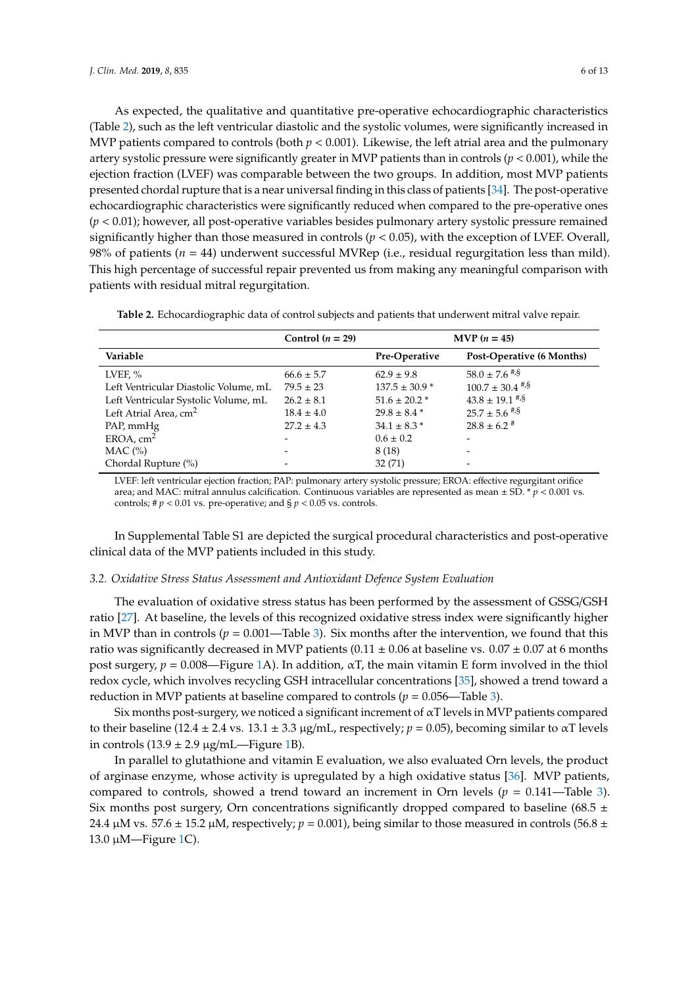As expected, the qualitative and quantitative pre-operative echocardiographic characteristics (Table [2\)](#page-5-0), such as the left ventricular diastolic and the systolic volumes, were significantly increased in MVP patients compared to controls (both  $p < 0.001$ ). Likewise, the left atrial area and the pulmonary artery systolic pressure were significantly greater in MVP patients than in controls (*p* < 0.001), while the ejection fraction (LVEF) was comparable between the two groups. In addition, most MVP patients presented chordal rupture that is a near universal finding in this class of patients [\[34\]](#page-11-10). The post-operative echocardiographic characteristics were significantly reduced when compared to the pre-operative ones (*p* < 0.01); however, all post-operative variables besides pulmonary artery systolic pressure remained significantly higher than those measured in controls (*p* < 0.05), with the exception of LVEF. Overall, 98% of patients (*n* = 44) underwent successful MVRep (i.e., residual regurgitation less than mild). This high percentage of successful repair prevented us from making any meaningful comparison with patients with residual mitral regurgitation.

|                                       | Control $(n = 29)$ | <b>MVP</b> $(n = 45)$ |                                                     |
|---------------------------------------|--------------------|-----------------------|-----------------------------------------------------|
| Variable                              |                    | Pre-Operative         | Post-Operative (6 Months)                           |
| LVEF, $%$                             | $66.6 \pm 5.7$     | $62.9 \pm 9.8$        | $58.0 \pm 7.6$ <sup>#<math>\frac{8}{5}</math></sup> |
| Left Ventricular Diastolic Volume, mL | $79.5 \pm 23$      | $137.5 \pm 30.9$ *    | $100.7 \pm 30.4$ <sup>#,§</sup>                     |
| Left Ventricular Systolic Volume, mL  | $26.2 \pm 8.1$     | $51.6 \pm 20.2$ *     | $43.8 \pm 19.1$ #.8                                 |
| Left Atrial Area, cm <sup>2</sup>     | $18.4 \pm 4.0$     | $29.8 \pm 8.4$ *      | $25.7 \pm 5.6$ # $\sqrt{8}$                         |
| PAP, mmHg                             | $27.2 \pm 4.3$     | $34.1 \pm 8.3$ *      | $28.8 \pm 6.2$ <sup>#</sup>                         |
| $EROA$ , $cm2$                        |                    | $0.6 \pm 0.2$         | -                                                   |
| MAC (%)                               |                    | 8 (18)                |                                                     |
| Chordal Rupture (%)                   |                    | 32(71)                |                                                     |

<span id="page-5-0"></span>**Table 2.** Echocardiographic data of control subjects and patients that underwent mitral valve repair.

LVEF: left ventricular ejection fraction; PAP: pulmonary artery systolic pressure; EROA: effective regurgitant orifice area; and MAC: mitral annulus calcification. Continuous variables are represented as mean ± SD. \* *p* < 0.001 vs. controls;  $\# p < 0.01$  vs. pre-operative; and  $\frac{6}{5} p < 0.05$  vs. controls.

In Supplemental Table S1 are depicted the surgical procedural characteristics and post-operative clinical data of the MVP patients included in this study.

#### *3.2. Oxidative Stress Status Assessment and Antioxidant Defence System Evaluation*

The evaluation of oxidative stress status has been performed by the assessment of GSSG/GSH ratio [\[27\]](#page-11-3). At baseline, the levels of this recognized oxidative stress index were significantly higher in MVP than in controls ( $p = 0.001$ —Table [3\)](#page-6-0). Six months after the intervention, we found that this ratio was significantly decreased in MVP patients  $(0.11 \pm 0.06$  at baseline vs.  $0.07 \pm 0.07$  at 6 months post surgery,  $p = 0.008$ —Figure [1A](#page-6-1)). In addition,  $\alpha T$ , the main vitamin E form involved in the thiol redox cycle, which involves recycling GSH intracellular concentrations [\[35\]](#page-11-11), showed a trend toward a reduction in MVP patients at baseline compared to controls ( $p = 0.056$ —Table [3\)](#page-6-0).

Six months post-surgery, we noticed a significant increment of  $\alpha T$  levels in MVP patients compared to their baseline (12.4  $\pm$  2.4 vs. 13.1  $\pm$  3.3 µg/mL, respectively; *p* = 0.05), becoming similar to  $\alpha$ T levels in controls  $(13.9 \pm 2.9 \,\mu g/mL$ —Figure [1B](#page-6-1)).

In parallel to glutathione and vitamin E evaluation, we also evaluated Orn levels, the product of arginase enzyme, whose activity is upregulated by a high oxidative status [\[36\]](#page-11-12). MVP patients, compared to controls, showed a trend toward an increment in Orn levels ( $p = 0.141$ —Table [3\)](#page-6-0). Six months post surgery, Orn concentrations significantly dropped compared to baseline (68.5  $\pm$ 24.4 µM vs. 57.6  $\pm$  15.2 µM, respectively;  $p = 0.001$ ), being similar to those measured in controls (56.8  $\pm$ 13.0 µM—Figure [1C](#page-6-1)).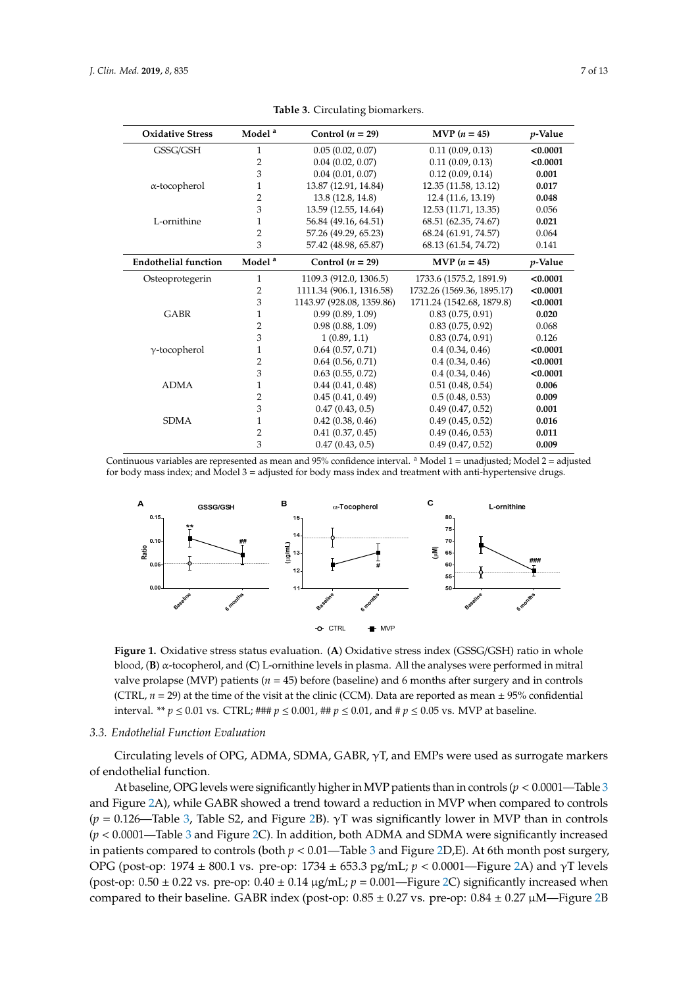<span id="page-6-0"></span>

| <b>Oxidative Stress</b>     | Model <sup>a</sup> | Control $(n = 29)$        | MVP $(n = 45)$             | $p$ -Value |
|-----------------------------|--------------------|---------------------------|----------------------------|------------|
| GSSG/GSH                    | $\mathbf{1}$       | 0.05(0.02, 0.07)          | 0.11(0.09, 0.13)           | < 0.0001   |
|                             | $\overline{2}$     | $0.04$ $(0.02, 0.07)$     | 0.11(0.09, 0.13)           | < 0.0001   |
|                             | 3                  | $0.04$ $(0.01, 0.07)$     | 0.12(0.09, 0.14)           | 0.001      |
| $\alpha$ -tocopherol        | 1                  | 13.87 (12.91, 14.84)      | 12.35 (11.58, 13.12)       | 0.017      |
|                             | $\overline{2}$     | 13.8 (12.8, 14.8)         | 12.4 (11.6, 13.19)         | 0.048      |
|                             | $\mathfrak{Z}$     | 13.59 (12.55, 14.64)      | 12.53 (11.71, 13.35)       | 0.056      |
| L-ornithine                 | 1                  | 56.84 (49.16, 64.51)      | 68.51 (62.35, 74.67)       | 0.021      |
|                             | $\overline{2}$     | 57.26 (49.29, 65.23)      | 68.24 (61.91, 74.57)       | 0.064      |
|                             | 3                  | 57.42 (48.98, 65.87)      | 68.13 (61.54, 74.72)       | 0.141      |
| <b>Endothelial function</b> | Model <sup>a</sup> | Control $(n = 29)$        | MVP $(n = 45)$             | $p$ -Value |
| Osteoprotegerin             | 1                  | 1109.3 (912.0, 1306.5)    | 1733.6 (1575.2, 1891.9)    | < 0.0001   |
|                             | $\overline{2}$     | 1111.34 (906.1, 1316.58)  | 1732.26 (1569.36, 1895.17) | < 0.0001   |
|                             | 3                  | 1143.97 (928.08, 1359.86) | 1711.24 (1542.68, 1879.8)  | < 0.0001   |
| <b>GABR</b>                 | 1                  | 0.99(0.89, 1.09)          | 0.83(0.75, 0.91)           | 0.020      |
|                             | $\overline{2}$     | 0.98(0.88, 1.09)          | 0.83(0.75, 0.92)           | 0.068      |
|                             | 3                  | 1(0.89, 1.1)              | 0.83(0.74, 0.91)           | 0.126      |
| $\gamma$ -tocopherol        | 1                  | 0.64(0.57, 0.71)          | 0.4(0.34, 0.46)            | < 0.0001   |
|                             | $\overline{2}$     | $0.64$ $(0.56, 0.71)$     | 0.4(0.34, 0.46)            | < 0.0001   |
|                             | $\mathfrak{Z}$     | 0.63(0.55, 0.72)          | 0.4(0.34, 0.46)            | < 0.0001   |
| <b>ADMA</b>                 | 1                  | 0.44(0.41, 0.48)          | 0.51(0.48, 0.54)           | 0.006      |
|                             | $\overline{2}$     | 0.45(0.41, 0.49)          | 0.5(0.48, 0.53)            | 0.009      |
|                             | 3                  | 0.47(0.43, 0.5)           | 0.49(0.47, 0.52)           | 0.001      |
| <b>SDMA</b>                 | $\mathbf{1}$       | 0.42(0.38, 0.46)          | 0.49(0.45, 0.52)           | 0.016      |
|                             | $\overline{2}$     | 0.41(0.37, 0.45)          | 0.49(0.46, 0.53)           | 0.011      |
|                             | 3                  | 0.47(0.43, 0.5)           | 0.49(0.47, 0.52)           | 0.009      |

**Table 3.** Circulating biomarkers.

Continuous variables are represented as mean and 95% confidence interval. <sup>a</sup> Model 1 = unadjusted; Model 2 = adjusted for body mass index; and Model 3 = adjusted for body mass index and treatment with anti-hypertensive drugs.

<span id="page-6-1"></span>

**Figure 1.** Oxidative stress status evaluation. (**A**) Oxidative stress index (GSSG/GSH) ratio in whole blood,  $(B)$   $\alpha$ -tocopherol, and  $(C)$  L-ornithine levels in plasma. All the analyses were performed in mitral valve prolapse (MVP) patients (*n* = 45) before (baseline) and 6 months after surgery and in controls (CTRL,  $n = 29$ ) at the time of the visit at the clinic (CCM). Data are reported as mean  $\pm$  95% confidential interval. \*\*  $p \le 0.01$  vs. CTRL; ###  $p \le 0.001$ , ##  $p \le 0.01$ , and #  $p \le 0.05$  vs. MVP at baseline.

# *3.3. Endothelial Function Evaluation 3.3. Endothelial Function Evaluation*

 $C_1$  and  $C_2$  of  $C_3$   $C_4$   $C_5$   $C_6$   $A$   $C_7$   $A$   $C_8$   $A$   $C_9$   $A$   $C_8$   $A$   $C_9$   $A$   $C_8$   $A$   $C_9$   $A$   $C_9$   $A$   $C_9$   $A$   $C_9$   $A$   $C_9$   $A$   $C_9$   $A$   $C_9$   $A$   $C_9$   $A$   $C_9$   $A$   $C_9$   $A$   $C_9$   $A$   $C_9$ Circulating levels of OPG, ADMA, SDMA, GABR,  $\gamma$ T, and EMPs were used as surrogate markers of endothelial function.

At baseline, OPG levels were significantly higher in MVP patients than in controls ( $p < 0.0001$ —Table [3](#page-6-0) and Figure [2A](#page-7-0)), while GABR showed a trend toward a reduction in MVP when compared to controls ( $p = 0.126$ —Table [3,](#page-6-0) Table S2, and Figure [2B](#page-7-0)).  $\gamma T$  was significantly lower in MVP than in controls  $\alpha$ <sup>i</sup> $\rho$  < 0.0001—Table [3](#page-6-0) and Figure [2C](#page-7-0)). In addition, both ADMA and SDMA were significantly increased post sure o and right  $=$  8, in addition, our rights and obtain were optimedially in in patients compared to controls (both  $p < 0.01$ —Table [3](#page-6-0) and Figure [2D](#page-7-0),E). At 6th month post surgery, OPG (post-op: 1974 ± 800.1 vs. pre-op: 1734 ± 653.3 pg/mL; *p* < 0.0001—Figure [2A](#page-7-0)) and γT levels (post-op:  $0.50 \pm 0.22$  vs. pre-op:  $0.40 \pm 0.14$  µg/mL;  $p = 0.001$ —Figure [2C](#page-7-0)) significantly increased when compared to their baseline. GABR index (post-op:  $0.85 \pm 0.27$  vs. pre-op:  $0.84 \pm 0.27$   $\mu$ M—Figure [2B](#page-7-0)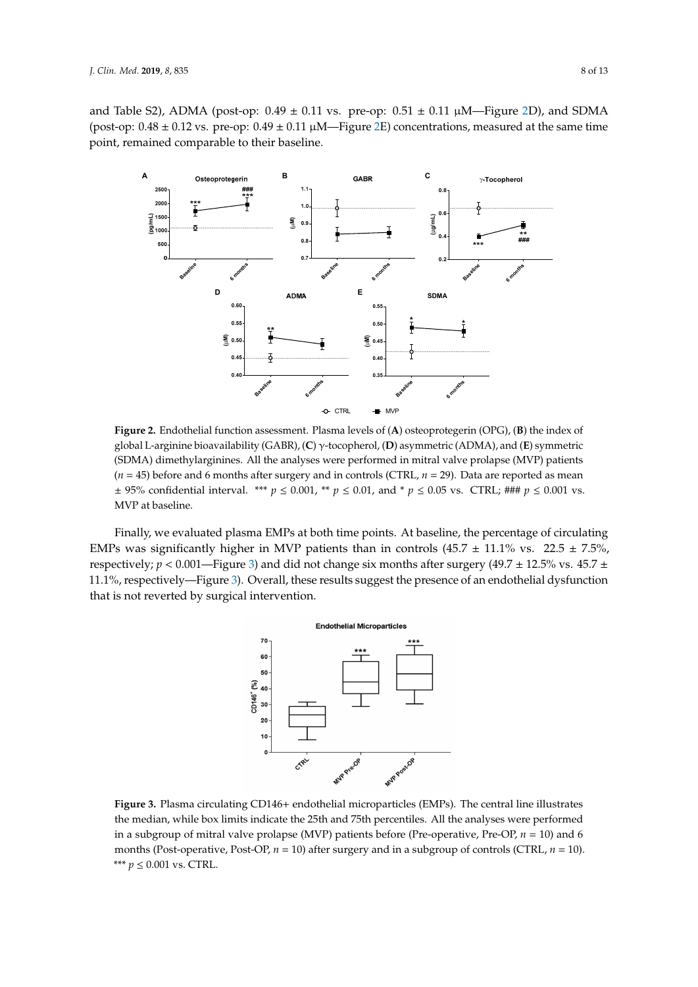and Table S2), ADMA (post-op:  $0.49 \pm 0.11$  vs. pre-op:  $0.51 \pm 0.11$   $\mu$ M—Figure [2D](#page-7-0)), and SDMA (post-op:  $0.48 \pm 0.12$  vs. pre-op:  $0.49 \pm 0.11 \mu$ M—Figure [2E](#page-7-0)) concentrations, measured at the same time point, remained comparable to their baseline.

<span id="page-7-0"></span>

**Figure 2.** Endothelial function assessment. Plasma levels of  $(A)$  osteoprotegerin (OPG),  $(B)$  the index of global L-arginine bioavailability (GABR), (C)  $\gamma$ -tocopherol, (D) asymmetric (ADMA), and (E) symmetric (SDMA) dimethylarginines. All the analyses were performed in mitral valve prolapse (MVP) patients  $(n = 45)$  before and 6 months after surgery and in controls (CTRL,  $n = 29$ ). Data are reported as mean ± 95% confidential interval. \*\*\*  $p \le 0.001$ , \*\*  $p \le 0.01$ , and \*  $p \le 0.05$  vs. CTRL; ###  $p \le 0.001$  vs. MVP at baseline.  $\int_{\mathcal{P}} \rho \geq 6564$ ,  $\int_{\mathcal{P}} \rho \geq 654$ , and  $\int_{\mathcal{P}} \rho \geq 656$  vs. CTRL,  $n_{nn}$   $p =$ **reported as mean ± 95% confidential interval. \*\*\*** *p* **≤ 0.01, and \*** *p* **≤ 0.01, and \*** *p* **≤ 0.05 vs. CTRL; ###** *p* **≤ 0.05 vs. CTRL; ###** *p* **≤ 0.05 vs. CTRL; ### ###** *p* **≤ 0.05 vs. CTRL; ### ### ### ### ##################** 

<span id="page-7-1"></span>Finally, we evaluated plasma EMPs at both time points. At baseline, the percentage of circulating Finally, we evaluated plasma EMPs at both time points. At baseline, the percentage of circulating  $\mathbb{R}^n$  was significantly higher in MVP patients that  $\mathbb{R}^n$  is  $\mathbb{R}^n$ . EMPs was significantly higher in MVP patients than in controls  $(45.7 \pm 11.1\% \text{ vs. } 22.5 \pm 7.5\%$ , respectively;  $p < 0.001$ —Fi[gu](#page-7-1)re 3) and did not change six months after surgery (49.7 ± 12.5% vs. 45.7 ± 11.1%, [re](#page-7-1)spectively—Figure 3). Overall, these results suggest the presence of an endothelial dysfunction that is not reverted by surgical intervention.  $r_{y}$ ,  $p > 0.001$ —Figure 3) and did not change six months after surgery (49.7  $\pm$  12.5 %)



Figure 3. Plasma circulating CD146+ endothelial microparticles (EMPs). The central line illustrates the median, while box limits indicate the 25th and 75th percentiles. All the analyses were performed in a subgroup of mitral valve prolapse (MVP) patients before (Pre-operative, Pre-OP,  $n = 10$ ) and 6 months (Post-operative, Post-OP,  $n = 10$ ) after surgery and in a subgroup of controls (CTRL,  $n = 10$ ). \*\*\* *p* ≤ 0.001 vs. CTRL.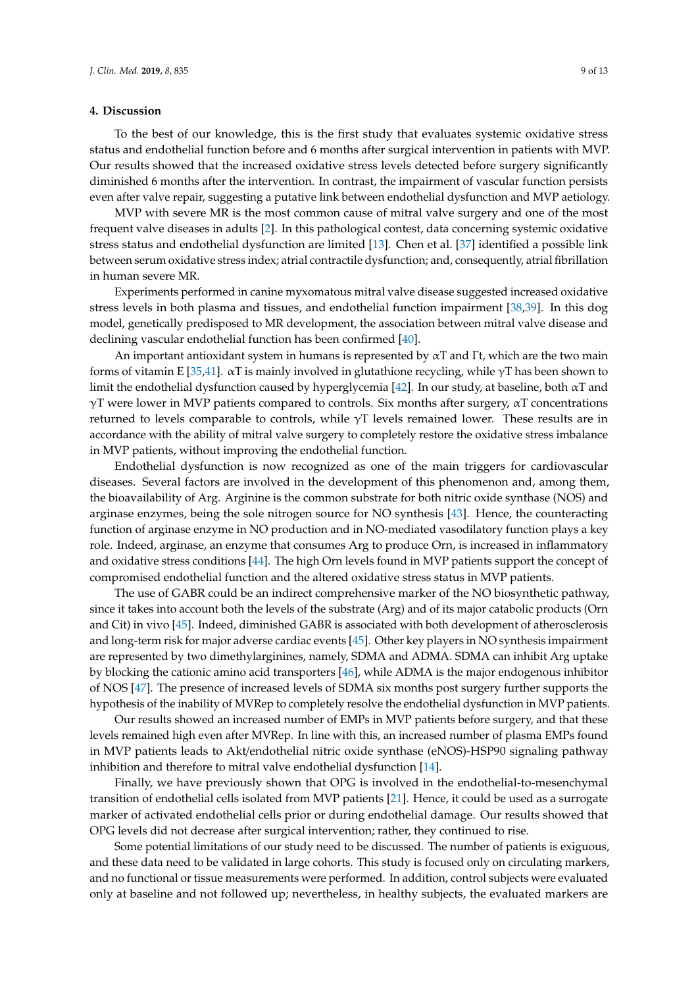# **4. Discussion**

To the best of our knowledge, this is the first study that evaluates systemic oxidative stress status and endothelial function before and 6 months after surgical intervention in patients with MVP. Our results showed that the increased oxidative stress levels detected before surgery significantly diminished 6 months after the intervention. In contrast, the impairment of vascular function persists even after valve repair, suggesting a putative link between endothelial dysfunction and MVP aetiology.

MVP with severe MR is the most common cause of mitral valve surgery and one of the most frequent valve diseases in adults [\[2\]](#page-9-1). In this pathological contest, data concerning systemic oxidative stress status and endothelial dysfunction are limited [\[13\]](#page-10-6). Chen et al. [\[37\]](#page-11-13) identified a possible link between serum oxidative stress index; atrial contractile dysfunction; and, consequently, atrial fibrillation in human severe MR.

Experiments performed in canine myxomatous mitral valve disease suggested increased oxidative stress levels in both plasma and tissues, and endothelial function impairment [\[38](#page-11-14)[,39\]](#page-11-15). In this dog model, genetically predisposed to MR development, the association between mitral valve disease and declining vascular endothelial function has been confirmed [\[40\]](#page-11-16).

An important antioxidant system in humans is represented by  $\alpha T$  and  $\Gamma t$ , which are the two main forms of vitamin E [\[35](#page-11-11)[,41\]](#page-12-0). αT is mainly involved in glutathione recycling, while γT has been shown to limit the endothelial dysfunction caused by hyperglycemia [\[42\]](#page-12-1). In our study, at baseline, both  $\alpha$ T and γT were lower in MVP patients compared to controls. Six months after surgery,  $αT$  concentrations returned to levels comparable to controls, while  $\gamma$ T levels remained lower. These results are in accordance with the ability of mitral valve surgery to completely restore the oxidative stress imbalance in MVP patients, without improving the endothelial function.

Endothelial dysfunction is now recognized as one of the main triggers for cardiovascular diseases. Several factors are involved in the development of this phenomenon and, among them, the bioavailability of Arg. Arginine is the common substrate for both nitric oxide synthase (NOS) and arginase enzymes, being the sole nitrogen source for NO synthesis [\[43\]](#page-12-2). Hence, the counteracting function of arginase enzyme in NO production and in NO-mediated vasodilatory function plays a key role. Indeed, arginase, an enzyme that consumes Arg to produce Orn, is increased in inflammatory and oxidative stress conditions [\[44\]](#page-12-3). The high Orn levels found in MVP patients support the concept of compromised endothelial function and the altered oxidative stress status in MVP patients.

The use of GABR could be an indirect comprehensive marker of the NO biosynthetic pathway, since it takes into account both the levels of the substrate (Arg) and of its major catabolic products (Orn and Cit) in vivo [\[45\]](#page-12-4). Indeed, diminished GABR is associated with both development of atherosclerosis and long-term risk for major adverse cardiac events [\[45\]](#page-12-4). Other key players in NO synthesis impairment are represented by two dimethylarginines, namely, SDMA and ADMA. SDMA can inhibit Arg uptake by blocking the cationic amino acid transporters [\[46\]](#page-12-5), while ADMA is the major endogenous inhibitor of NOS [\[47\]](#page-12-6). The presence of increased levels of SDMA six months post surgery further supports the hypothesis of the inability of MVRep to completely resolve the endothelial dysfunction in MVP patients.

Our results showed an increased number of EMPs in MVP patients before surgery, and that these levels remained high even after MVRep. In line with this, an increased number of plasma EMPs found in MVP patients leads to Akt/endothelial nitric oxide synthase (eNOS)-HSP90 signaling pathway inhibition and therefore to mitral valve endothelial dysfunction [\[14\]](#page-10-7).

Finally, we have previously shown that OPG is involved in the endothelial-to-mesenchymal transition of endothelial cells isolated from MVP patients [\[21\]](#page-10-13). Hence, it could be used as a surrogate marker of activated endothelial cells prior or during endothelial damage. Our results showed that OPG levels did not decrease after surgical intervention; rather, they continued to rise.

Some potential limitations of our study need to be discussed. The number of patients is exiguous, and these data need to be validated in large cohorts. This study is focused only on circulating markers, and no functional or tissue measurements were performed. In addition, control subjects were evaluated only at baseline and not followed up; nevertheless, in healthy subjects, the evaluated markers are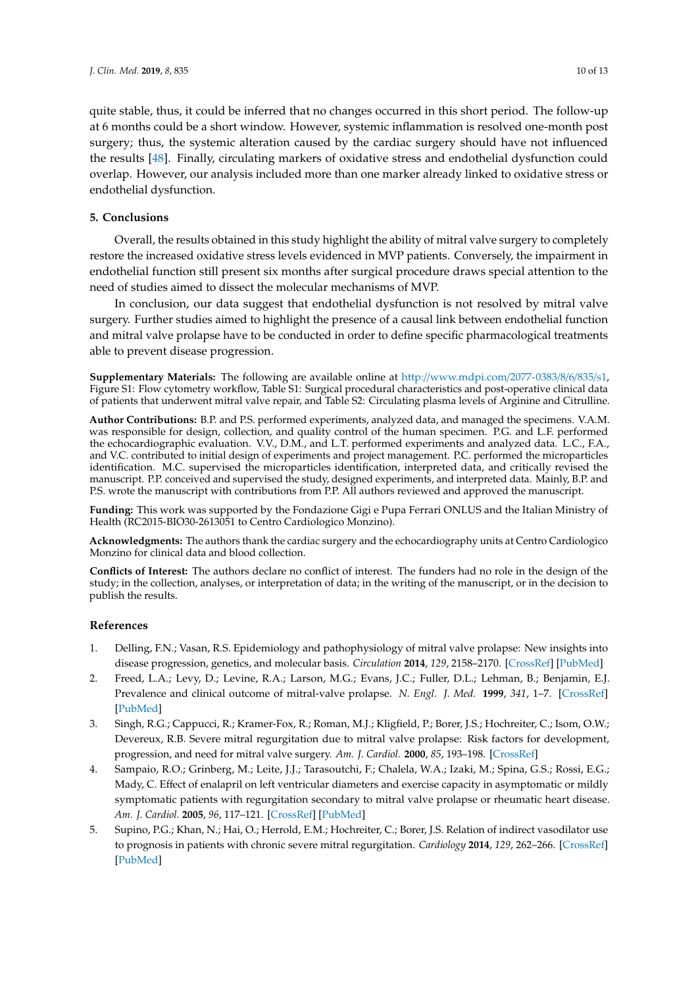quite stable, thus, it could be inferred that no changes occurred in this short period. The follow-up at 6 months could be a short window. However, systemic inflammation is resolved one-month post surgery; thus, the systemic alteration caused by the cardiac surgery should have not influenced the results [\[48\]](#page-12-7). Finally, circulating markers of oxidative stress and endothelial dysfunction could overlap. However, our analysis included more than one marker already linked to oxidative stress or endothelial dysfunction.

# **5. Conclusions**

Overall, the results obtained in this study highlight the ability of mitral valve surgery to completely restore the increased oxidative stress levels evidenced in MVP patients. Conversely, the impairment in endothelial function still present six months after surgical procedure draws special attention to the need of studies aimed to dissect the molecular mechanisms of MVP.

In conclusion, our data suggest that endothelial dysfunction is not resolved by mitral valve surgery. Further studies aimed to highlight the presence of a causal link between endothelial function and mitral valve prolapse have to be conducted in order to define specific pharmacological treatments able to prevent disease progression.

**Supplementary Materials:** The following are available online at http://[www.mdpi.com](http://www.mdpi.com/2077-0383/8/6/835/s1)/2077-0383/8/6/835/s1, Figure S1: Flow cytometry workflow, Table S1: Surgical procedural characteristics and post-operative clinical data of patients that underwent mitral valve repair, and Table S2: Circulating plasma levels of Arginine and Citrulline.

**Author Contributions:** B.P. and P.S. performed experiments, analyzed data, and managed the specimens. V.A.M. was responsible for design, collection, and quality control of the human specimen. P.G. and L.F. performed the echocardiographic evaluation. V.V., D.M., and L.T. performed experiments and analyzed data. L.C., F.A., and V.C. contributed to initial design of experiments and project management. P.C. performed the microparticles identification. M.C. supervised the microparticles identification, interpreted data, and critically revised the manuscript. P.P. conceived and supervised the study, designed experiments, and interpreted data. Mainly, B.P. and P.S. wrote the manuscript with contributions from P.P. All authors reviewed and approved the manuscript.

**Funding:** This work was supported by the Fondazione Gigi e Pupa Ferrari ONLUS and the Italian Ministry of Health (RC2015-BIO30-2613051 to Centro Cardiologico Monzino).

**Acknowledgments:** The authors thank the cardiac surgery and the echocardiography units at Centro Cardiologico Monzino for clinical data and blood collection.

**Conflicts of Interest:** The authors declare no conflict of interest. The funders had no role in the design of the study; in the collection, analyses, or interpretation of data; in the writing of the manuscript, or in the decision to publish the results.

# **References**

- <span id="page-9-0"></span>1. Delling, F.N.; Vasan, R.S. Epidemiology and pathophysiology of mitral valve prolapse: New insights into disease progression, genetics, and molecular basis. *Circulation* **2014**, *129*, 2158–2170. [\[CrossRef\]](http://dx.doi.org/10.1161/CIRCULATIONAHA.113.006702) [\[PubMed\]](http://www.ncbi.nlm.nih.gov/pubmed/24867995)
- <span id="page-9-1"></span>2. Freed, L.A.; Levy, D.; Levine, R.A.; Larson, M.G.; Evans, J.C.; Fuller, D.L.; Lehman, B.; Benjamin, E.J. Prevalence and clinical outcome of mitral-valve prolapse. *N. Engl. J. Med.* **1999**, *341*, 1–7. [\[CrossRef\]](http://dx.doi.org/10.1056/NEJM199907013410101) [\[PubMed\]](http://www.ncbi.nlm.nih.gov/pubmed/10387935)
- <span id="page-9-2"></span>3. Singh, R.G.; Cappucci, R.; Kramer-Fox, R.; Roman, M.J.; Kligfield, P.; Borer, J.S.; Hochreiter, C.; Isom, O.W.; Devereux, R.B. Severe mitral regurgitation due to mitral valve prolapse: Risk factors for development, progression, and need for mitral valve surgery. *Am. J. Cardiol.* **2000**, *85*, 193–198. [\[CrossRef\]](http://dx.doi.org/10.1016/S0002-9149(99)00645-1)
- <span id="page-9-3"></span>4. Sampaio, R.O.; Grinberg, M.; Leite, J.J.; Tarasoutchi, F.; Chalela, W.A.; Izaki, M.; Spina, G.S.; Rossi, E.G.; Mady, C. Effect of enalapril on left ventricular diameters and exercise capacity in asymptomatic or mildly symptomatic patients with regurgitation secondary to mitral valve prolapse or rheumatic heart disease. *Am. J. Cardiol.* **2005**, *96*, 117–121. [\[CrossRef\]](http://dx.doi.org/10.1016/j.amjcard.2005.02.056) [\[PubMed\]](http://www.ncbi.nlm.nih.gov/pubmed/15979448)
- <span id="page-9-4"></span>5. Supino, P.G.; Khan, N.; Hai, O.; Herrold, E.M.; Hochreiter, C.; Borer, J.S. Relation of indirect vasodilator use to prognosis in patients with chronic severe mitral regurgitation. *Cardiology* **2014**, *129*, 262–266. [\[CrossRef\]](http://dx.doi.org/10.1159/000368797) [\[PubMed\]](http://www.ncbi.nlm.nih.gov/pubmed/25402846)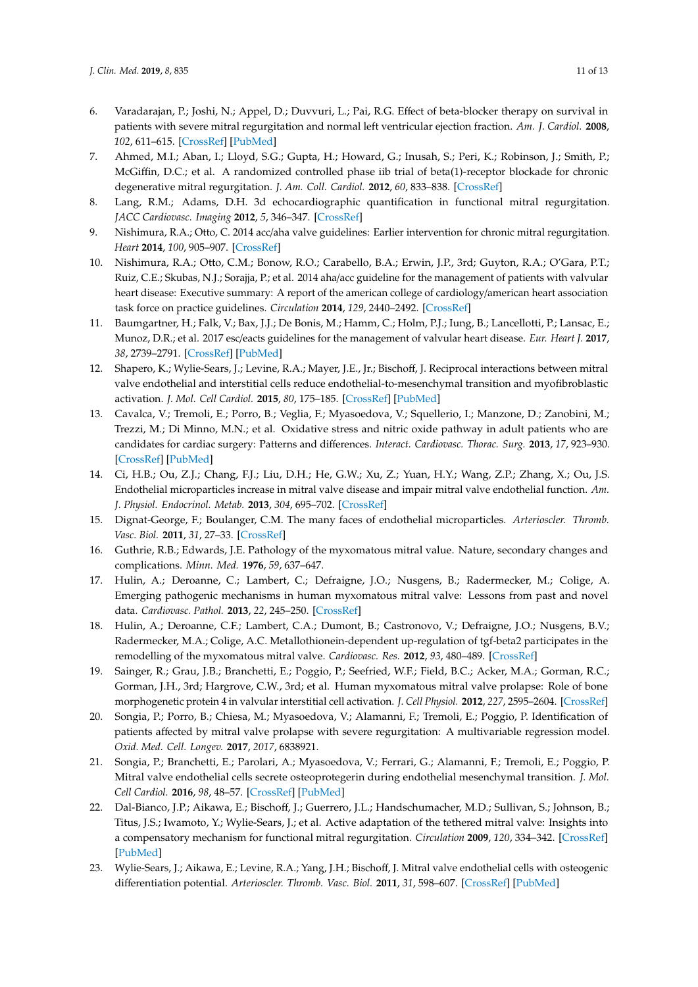- <span id="page-10-0"></span>6. Varadarajan, P.; Joshi, N.; Appel, D.; Duvvuri, L.; Pai, R.G. Effect of beta-blocker therapy on survival in patients with severe mitral regurgitation and normal left ventricular ejection fraction. *Am. J. Cardiol.* **2008**, *102*, 611–615. [\[CrossRef\]](http://dx.doi.org/10.1016/j.amjcard.2008.04.029) [\[PubMed\]](http://www.ncbi.nlm.nih.gov/pubmed/18721522)
- <span id="page-10-1"></span>7. Ahmed, M.I.; Aban, I.; Lloyd, S.G.; Gupta, H.; Howard, G.; Inusah, S.; Peri, K.; Robinson, J.; Smith, P.; McGiffin, D.C.; et al. A randomized controlled phase iib trial of beta(1)-receptor blockade for chronic degenerative mitral regurgitation. *J. Am. Coll. Cardiol.* **2012**, *60*, 833–838. [\[CrossRef\]](http://dx.doi.org/10.1016/j.jacc.2012.04.029)
- <span id="page-10-2"></span>8. Lang, R.M.; Adams, D.H. 3d echocardiographic quantification in functional mitral regurgitation. *JACC Cardiovasc. Imaging* **2012**, *5*, 346–347. [\[CrossRef\]](http://dx.doi.org/10.1016/j.jcmg.2012.02.005)
- <span id="page-10-16"></span>9. Nishimura, R.A.; Otto, C. 2014 acc/aha valve guidelines: Earlier intervention for chronic mitral regurgitation. *Heart* **2014**, *100*, 905–907. [\[CrossRef\]](http://dx.doi.org/10.1136/heartjnl-2014-305834)
- <span id="page-10-3"></span>10. Nishimura, R.A.; Otto, C.M.; Bonow, R.O.; Carabello, B.A.; Erwin, J.P., 3rd; Guyton, R.A.; O'Gara, P.T.; Ruiz, C.E.; Skubas, N.J.; Sorajja, P.; et al. 2014 aha/acc guideline for the management of patients with valvular heart disease: Executive summary: A report of the american college of cardiology/american heart association task force on practice guidelines. *Circulation* **2014**, *129*, 2440–2492. [\[CrossRef\]](http://dx.doi.org/10.1161/CIR.0000000000000029)
- <span id="page-10-4"></span>11. Baumgartner, H.; Falk, V.; Bax, J.J.; De Bonis, M.; Hamm, C.; Holm, P.J.; Iung, B.; Lancellotti, P.; Lansac, E.; Munoz, D.R.; et al. 2017 esc/eacts guidelines for the management of valvular heart disease. *Eur. Heart J.* **2017**, *38*, 2739–2791. [\[CrossRef\]](http://dx.doi.org/10.1093/eurheartj/ehx391) [\[PubMed\]](http://www.ncbi.nlm.nih.gov/pubmed/28886619)
- <span id="page-10-5"></span>12. Shapero, K.; Wylie-Sears, J.; Levine, R.A.; Mayer, J.E., Jr.; Bischoff, J. Reciprocal interactions between mitral valve endothelial and interstitial cells reduce endothelial-to-mesenchymal transition and myofibroblastic activation. *J. Mol. Cell Cardiol.* **2015**, *80*, 175–185. [\[CrossRef\]](http://dx.doi.org/10.1016/j.yjmcc.2015.01.006) [\[PubMed\]](http://www.ncbi.nlm.nih.gov/pubmed/25633835)
- <span id="page-10-6"></span>13. Cavalca, V.; Tremoli, E.; Porro, B.; Veglia, F.; Myasoedova, V.; Squellerio, I.; Manzone, D.; Zanobini, M.; Trezzi, M.; Di Minno, M.N.; et al. Oxidative stress and nitric oxide pathway in adult patients who are candidates for cardiac surgery: Patterns and differences. *Interact. Cardiovasc. Thorac. Surg.* **2013**, *17*, 923–930. [\[CrossRef\]](http://dx.doi.org/10.1093/icvts/ivt386) [\[PubMed\]](http://www.ncbi.nlm.nih.gov/pubmed/24014619)
- <span id="page-10-7"></span>14. Ci, H.B.; Ou, Z.J.; Chang, F.J.; Liu, D.H.; He, G.W.; Xu, Z.; Yuan, H.Y.; Wang, Z.P.; Zhang, X.; Ou, J.S. Endothelial microparticles increase in mitral valve disease and impair mitral valve endothelial function. *Am. J. Physiol. Endocrinol. Metab.* **2013**, *304*, 695–702. [\[CrossRef\]](http://dx.doi.org/10.1152/ajpendo.00016.2013)
- <span id="page-10-8"></span>15. Dignat-George, F.; Boulanger, C.M. The many faces of endothelial microparticles. *Arterioscler. Thromb. Vasc. Biol.* **2011**, *31*, 27–33. [\[CrossRef\]](http://dx.doi.org/10.1161/ATVBAHA.110.218123)
- <span id="page-10-9"></span>16. Guthrie, R.B.; Edwards, J.E. Pathology of the myxomatous mitral value. Nature, secondary changes and complications. *Minn. Med.* **1976**, *59*, 637–647.
- <span id="page-10-10"></span>17. Hulin, A.; Deroanne, C.; Lambert, C.; Defraigne, J.O.; Nusgens, B.; Radermecker, M.; Colige, A. Emerging pathogenic mechanisms in human myxomatous mitral valve: Lessons from past and novel data. *Cardiovasc. Pathol.* **2013**, *22*, 245–250. [\[CrossRef\]](http://dx.doi.org/10.1016/j.carpath.2012.11.001)
- 18. Hulin, A.; Deroanne, C.F.; Lambert, C.A.; Dumont, B.; Castronovo, V.; Defraigne, J.O.; Nusgens, B.V.; Radermecker, M.A.; Colige, A.C. Metallothionein-dependent up-regulation of tgf-beta2 participates in the remodelling of the myxomatous mitral valve. *Cardiovasc. Res.* **2012**, *93*, 480–489. [\[CrossRef\]](http://dx.doi.org/10.1093/cvr/cvr337)
- <span id="page-10-11"></span>19. Sainger, R.; Grau, J.B.; Branchetti, E.; Poggio, P.; Seefried, W.F.; Field, B.C.; Acker, M.A.; Gorman, R.C.; Gorman, J.H., 3rd; Hargrove, C.W., 3rd; et al. Human myxomatous mitral valve prolapse: Role of bone morphogenetic protein 4 in valvular interstitial cell activation. *J. Cell Physiol.* **2012**, *227*, 2595–2604. [\[CrossRef\]](http://dx.doi.org/10.1002/jcp.22999)
- <span id="page-10-12"></span>20. Songia, P.; Porro, B.; Chiesa, M.; Myasoedova, V.; Alamanni, F.; Tremoli, E.; Poggio, P. Identification of patients affected by mitral valve prolapse with severe regurgitation: A multivariable regression model. *Oxid. Med. Cell. Longev.* **2017**, *2017*, 6838921.
- <span id="page-10-13"></span>21. Songia, P.; Branchetti, E.; Parolari, A.; Myasoedova, V.; Ferrari, G.; Alamanni, F.; Tremoli, E.; Poggio, P. Mitral valve endothelial cells secrete osteoprotegerin during endothelial mesenchymal transition. *J. Mol. Cell Cardiol.* **2016**, *98*, 48–57. [\[CrossRef\]](http://dx.doi.org/10.1016/j.yjmcc.2016.06.061) [\[PubMed\]](http://www.ncbi.nlm.nih.gov/pubmed/27338002)
- <span id="page-10-14"></span>22. Dal-Bianco, J.P.; Aikawa, E.; Bischoff, J.; Guerrero, J.L.; Handschumacher, M.D.; Sullivan, S.; Johnson, B.; Titus, J.S.; Iwamoto, Y.; Wylie-Sears, J.; et al. Active adaptation of the tethered mitral valve: Insights into a compensatory mechanism for functional mitral regurgitation. *Circulation* **2009**, *120*, 334–342. [\[CrossRef\]](http://dx.doi.org/10.1161/CIRCULATIONAHA.108.846782) [\[PubMed\]](http://www.ncbi.nlm.nih.gov/pubmed/19597052)
- <span id="page-10-15"></span>23. Wylie-Sears, J.; Aikawa, E.; Levine, R.A.; Yang, J.H.; Bischoff, J. Mitral valve endothelial cells with osteogenic differentiation potential. *Arterioscler. Thromb. Vasc. Biol.* **2011**, *31*, 598–607. [\[CrossRef\]](http://dx.doi.org/10.1161/ATVBAHA.110.216184) [\[PubMed\]](http://www.ncbi.nlm.nih.gov/pubmed/21164078)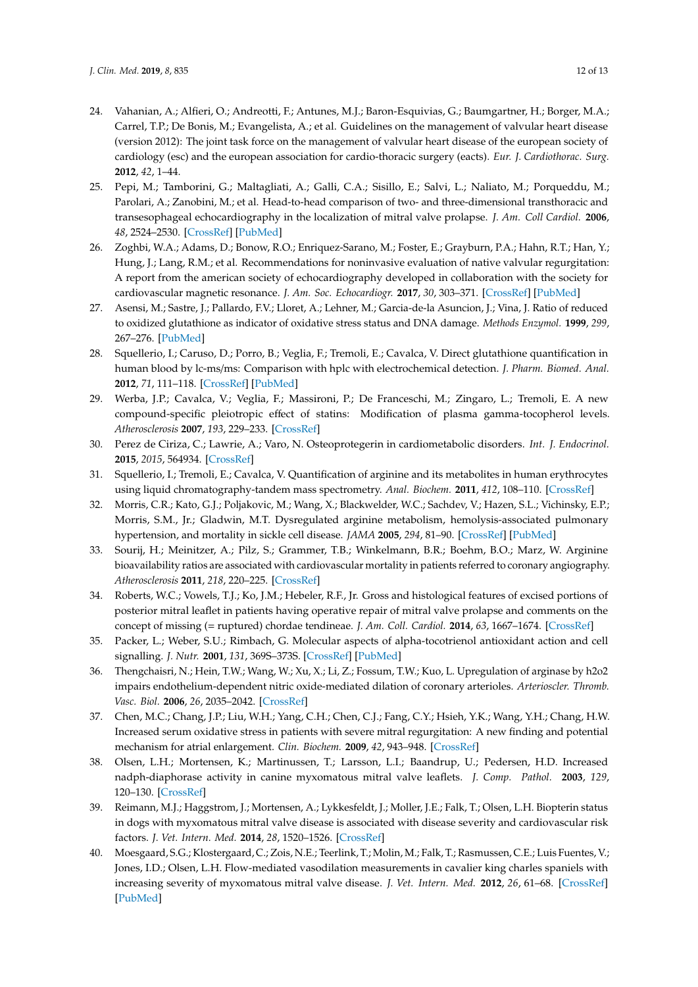- <span id="page-11-0"></span>24. Vahanian, A.; Alfieri, O.; Andreotti, F.; Antunes, M.J.; Baron-Esquivias, G.; Baumgartner, H.; Borger, M.A.; Carrel, T.P.; De Bonis, M.; Evangelista, A.; et al. Guidelines on the management of valvular heart disease (version 2012): The joint task force on the management of valvular heart disease of the european society of cardiology (esc) and the european association for cardio-thoracic surgery (eacts). *Eur. J. Cardiothorac. Surg.* **2012**, *42*, 1–44.
- <span id="page-11-1"></span>25. Pepi, M.; Tamborini, G.; Maltagliati, A.; Galli, C.A.; Sisillo, E.; Salvi, L.; Naliato, M.; Porqueddu, M.; Parolari, A.; Zanobini, M.; et al. Head-to-head comparison of two- and three-dimensional transthoracic and transesophageal echocardiography in the localization of mitral valve prolapse. *J. Am. Coll Cardiol.* **2006**, *48*, 2524–2530. [\[CrossRef\]](http://dx.doi.org/10.1016/j.jacc.2006.02.079) [\[PubMed\]](http://www.ncbi.nlm.nih.gov/pubmed/17174193)
- <span id="page-11-2"></span>26. Zoghbi, W.A.; Adams, D.; Bonow, R.O.; Enriquez-Sarano, M.; Foster, E.; Grayburn, P.A.; Hahn, R.T.; Han, Y.; Hung, J.; Lang, R.M.; et al. Recommendations for noninvasive evaluation of native valvular regurgitation: A report from the american society of echocardiography developed in collaboration with the society for cardiovascular magnetic resonance. *J. Am. Soc. Echocardiogr.* **2017**, *30*, 303–371. [\[CrossRef\]](http://dx.doi.org/10.1016/j.echo.2017.01.007) [\[PubMed\]](http://www.ncbi.nlm.nih.gov/pubmed/28314623)
- <span id="page-11-3"></span>27. Asensi, M.; Sastre, J.; Pallardo, F.V.; Lloret, A.; Lehner, M.; Garcia-de-la Asuncion, J.; Vina, J. Ratio of reduced to oxidized glutathione as indicator of oxidative stress status and DNA damage. *Methods Enzymol.* **1999**, *299*, 267–276. [\[PubMed\]](http://www.ncbi.nlm.nih.gov/pubmed/9916205)
- <span id="page-11-4"></span>28. Squellerio, I.; Caruso, D.; Porro, B.; Veglia, F.; Tremoli, E.; Cavalca, V. Direct glutathione quantification in human blood by lc-ms/ms: Comparison with hplc with electrochemical detection. *J. Pharm. Biomed. Anal.* **2012**, *71*, 111–118. [\[CrossRef\]](http://dx.doi.org/10.1016/j.jpba.2012.08.013) [\[PubMed\]](http://www.ncbi.nlm.nih.gov/pubmed/22947504)
- <span id="page-11-5"></span>29. Werba, J.P.; Cavalca, V.; Veglia, F.; Massironi, P.; De Franceschi, M.; Zingaro, L.; Tremoli, E. A new compound-specific pleiotropic effect of statins: Modification of plasma gamma-tocopherol levels. *Atherosclerosis* **2007**, *193*, 229–233. [\[CrossRef\]](http://dx.doi.org/10.1016/j.atherosclerosis.2006.06.020)
- <span id="page-11-6"></span>30. Perez de Ciriza, C.; Lawrie, A.; Varo, N. Osteoprotegerin in cardiometabolic disorders. *Int. J. Endocrinol.* **2015**, *2015*, 564934. [\[CrossRef\]](http://dx.doi.org/10.1155/2015/564934)
- <span id="page-11-7"></span>31. Squellerio, I.; Tremoli, E.; Cavalca, V. Quantification of arginine and its metabolites in human erythrocytes using liquid chromatography-tandem mass spectrometry. *Anal. Biochem.* **2011**, *412*, 108–110. [\[CrossRef\]](http://dx.doi.org/10.1016/j.ab.2011.01.018)
- <span id="page-11-8"></span>32. Morris, C.R.; Kato, G.J.; Poljakovic, M.; Wang, X.; Blackwelder, W.C.; Sachdev, V.; Hazen, S.L.; Vichinsky, E.P.; Morris, S.M., Jr.; Gladwin, M.T. Dysregulated arginine metabolism, hemolysis-associated pulmonary hypertension, and mortality in sickle cell disease. *JAMA* **2005**, *294*, 81–90. [\[CrossRef\]](http://dx.doi.org/10.1001/jama.294.1.81) [\[PubMed\]](http://www.ncbi.nlm.nih.gov/pubmed/15998894)
- <span id="page-11-9"></span>33. Sourij, H.; Meinitzer, A.; Pilz, S.; Grammer, T.B.; Winkelmann, B.R.; Boehm, B.O.; Marz, W. Arginine bioavailability ratios are associated with cardiovascular mortality in patients referred to coronary angiography. *Atherosclerosis* **2011**, *218*, 220–225. [\[CrossRef\]](http://dx.doi.org/10.1016/j.atherosclerosis.2011.04.041)
- <span id="page-11-10"></span>34. Roberts, W.C.; Vowels, T.J.; Ko, J.M.; Hebeler, R.F., Jr. Gross and histological features of excised portions of posterior mitral leaflet in patients having operative repair of mitral valve prolapse and comments on the concept of missing (= ruptured) chordae tendineae. *J. Am. Coll. Cardiol.* **2014**, *63*, 1667–1674. [\[CrossRef\]](http://dx.doi.org/10.1016/j.jacc.2013.11.017)
- <span id="page-11-11"></span>35. Packer, L.; Weber, S.U.; Rimbach, G. Molecular aspects of alpha-tocotrienol antioxidant action and cell signalling. *J. Nutr.* **2001**, *131*, 369S–373S. [\[CrossRef\]](http://dx.doi.org/10.1093/jn/131.2.369S) [\[PubMed\]](http://www.ncbi.nlm.nih.gov/pubmed/11160563)
- <span id="page-11-12"></span>36. Thengchaisri, N.; Hein, T.W.; Wang, W.; Xu, X.; Li, Z.; Fossum, T.W.; Kuo, L. Upregulation of arginase by h2o2 impairs endothelium-dependent nitric oxide-mediated dilation of coronary arterioles. *Arterioscler. Thromb. Vasc. Biol.* **2006**, *26*, 2035–2042. [\[CrossRef\]](http://dx.doi.org/10.1161/01.ATV.0000233334.24805.62)
- <span id="page-11-13"></span>37. Chen, M.C.; Chang, J.P.; Liu, W.H.; Yang, C.H.; Chen, C.J.; Fang, C.Y.; Hsieh, Y.K.; Wang, Y.H.; Chang, H.W. Increased serum oxidative stress in patients with severe mitral regurgitation: A new finding and potential mechanism for atrial enlargement. *Clin. Biochem.* **2009**, *42*, 943–948. [\[CrossRef\]](http://dx.doi.org/10.1016/j.clinbiochem.2009.04.012)
- <span id="page-11-14"></span>38. Olsen, L.H.; Mortensen, K.; Martinussen, T.; Larsson, L.I.; Baandrup, U.; Pedersen, H.D. Increased nadph-diaphorase activity in canine myxomatous mitral valve leaflets. *J. Comp. Pathol.* **2003**, *129*, 120–130. [\[CrossRef\]](http://dx.doi.org/10.1016/S0021-9975(03)00019-7)
- <span id="page-11-15"></span>39. Reimann, M.J.; Haggstrom, J.; Mortensen, A.; Lykkesfeldt, J.; Moller, J.E.; Falk, T.; Olsen, L.H. Biopterin status in dogs with myxomatous mitral valve disease is associated with disease severity and cardiovascular risk factors. *J. Vet. Intern. Med.* **2014**, *28*, 1520–1526. [\[CrossRef\]](http://dx.doi.org/10.1111/jvim.12425)
- <span id="page-11-16"></span>40. Moesgaard, S.G.; Klostergaard, C.; Zois, N.E.; Teerlink, T.; Molin, M.; Falk, T.; Rasmussen, C.E.; Luis Fuentes, V.; Jones, I.D.; Olsen, L.H. Flow-mediated vasodilation measurements in cavalier king charles spaniels with increasing severity of myxomatous mitral valve disease. *J. Vet. Intern. Med.* **2012**, *26*, 61–68. [\[CrossRef\]](http://dx.doi.org/10.1111/j.1939-1676.2011.00846.x) [\[PubMed\]](http://www.ncbi.nlm.nih.gov/pubmed/22151409)